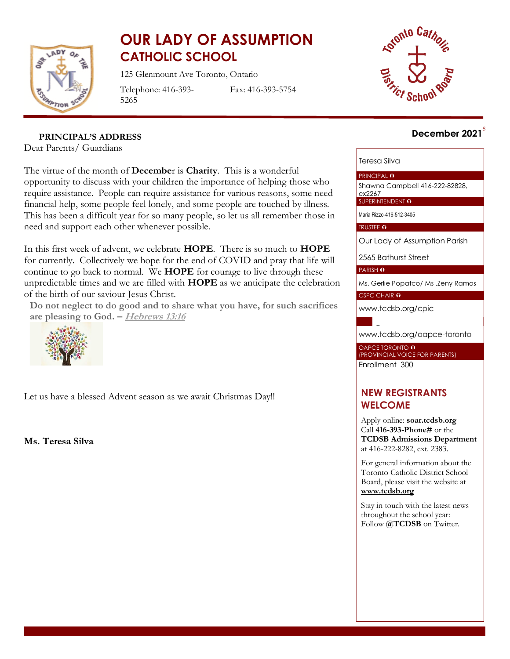

# **OUR LADY OF ASSUMPTION CATHOLIC SCHOOL**

125 Glenmount Ave Toronto, Ontario Telephone: 416-393-

Fax: 416-393-5754



## s **December 2021**

**PRINCIPAL'S ADDRESS**

5265

Dear Parents/ Guardians

The virtue of the month of **Decembe**r is **Charity**. This is a wonderful opportunity to discuss with your children the importance of helping those who require assistance. People can require assistance for various reasons, some need financial help, some people feel lonely, and some people are touched by illness. This has been a difficult year for so many people, so let us all remember those in need and support each other whenever possible.

In this first week of advent, we celebrate **HOPE**. There is so much to **HOPE** for currently. Collectively we hope for the end of COVID and pray that life will continue to go back to normal. We **HOPE** for courage to live through these unpredictable times and we are filled with **HOPE** as we anticipate the celebration of the birth of our saviour Jesus Christ.

**Do not neglect to do good and to share what you have, for such sacrifices are pleasing to God. – [Hebrews](https://biblia.com/bible/esv/hebrews/13/16) 13:16**



Le[t us have](https://creativecommons.org/licenses/by-nc-sa/3.0/) a [blesse](https://creativecommons.org/licenses/by-nc-sa/3.0/)d Advent season as we await Christmas Day!!

**Ms. Teresa Silva**

#### Teresa Silva

PRINCIPAL O

Shawna Campbell 416-222-82828, ex2267

SUPERINTENDENT O

Maria Rizzo-416-512-3405

TRUSTEE O

Our Lady of Assumption Parish

2565 Bathurst Street

PARISH O

Ms. Gerlie Popatco/ Ms .Zeny Ramos

CSPC CHAIR 0

[www.tcdsb.org/cpic](http://www.tcdsb.org/cpic)

[www.tcdsb.org/oapce](http://www.tcdsb.org/oapce-toronto)-toronto

OAPCE TORONTO **0** (PROVINCIAL VOICE FOR PARENTS) Enrollment 300

## **NEW REGISTRANTS WELCOME**

Apply online: **soar.tcdsb.org** Call **416-393-Phone#** or the **TCDSB Admissions Department** at 416-222-8282, ext. 2383.

For general information about the Toronto Catholic District School Board, please visit the website at **[www.tcdsb.org](http://www.tcdsb.org/)**

Stay in touch with the latest news throughout the school year: Follow **@TCDSB** on Twitter.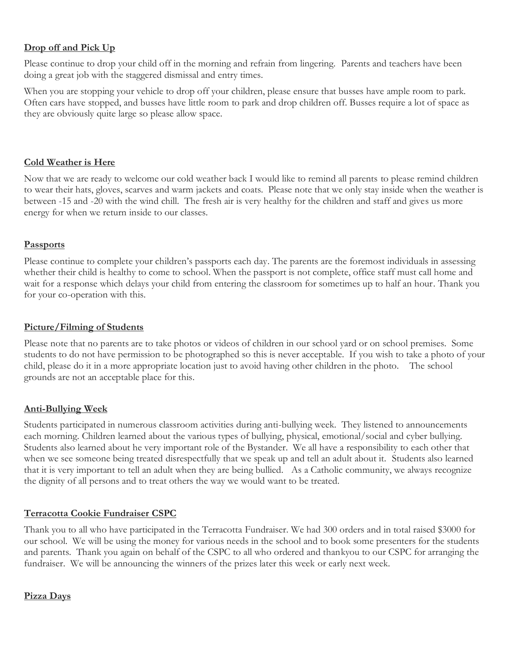## **Drop off and Pick Up**

Please continue to drop your child off in the morning and refrain from lingering. Parents and teachers have been doing a great job with the staggered dismissal and entry times.

When you are stopping your vehicle to drop off your children, please ensure that busses have ample room to park. Often cars have stopped, and busses have little room to park and drop children off. Busses require a lot of space as they are obviously quite large so please allow space.

#### **Cold Weather is Here**

Now that we are ready to welcome our cold weather back I would like to remind all parents to please remind children to wear their hats, gloves, scarves and warm jackets and coats. Please note that we only stay inside when the weather is between -15 and -20 with the wind chill. The fresh air is very healthy for the children and staff and gives us more energy for when we return inside to our classes.

#### **Passports**

Please continue to complete your children's passports each day. The parents are the foremost individuals in assessing whether their child is healthy to come to school. When the passport is not complete, office staff must call home and wait for a response which delays your child from entering the classroom for sometimes up to half an hour. Thank you for your co-operation with this.

#### **Picture/Filming of Students**

Please note that no parents are to take photos or videos of children in our school yard or on school premises. Some students to do not have permission to be photographed so this is never acceptable. If you wish to take a photo of your child, please do it in a more appropriate location just to avoid having other children in the photo. The school grounds are not an acceptable place for this.

#### **Anti-Bullying Week**

Students participated in numerous classroom activities during anti-bullying week. They listened to announcements each morning. Children learned about the various types of bullying, physical, emotional/social and cyber bullying. Students also learned about he very important role of the Bystander. We all have a responsibility to each other that when we see someone being treated disrespectfully that we speak up and tell an adult about it. Students also learned that it is very important to tell an adult when they are being bullied. As a Catholic community, we always recognize the dignity of all persons and to treat others the way we would want to be treated.

#### **Terracotta Cookie Fundraiser CSPC**

Thank you to all who have participated in the Terracotta Fundraiser. We had 300 orders and in total raised \$3000 for our school. We will be using the money for various needs in the school and to book some presenters for the students and parents. Thank you again on behalf of the CSPC to all who ordered and thankyou to our CSPC for arranging the fundraiser. We will be announcing the winners of the prizes later this week or early next week.

#### **Pizza Days**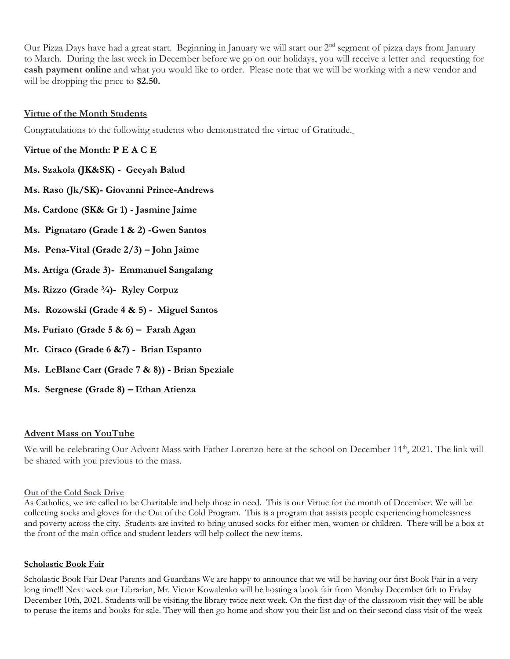Our Pizza Days have had a great start. Beginning in January we will start our 2<sup>nd</sup> segment of pizza days from January to March. During the last week in December before we go on our holidays, you will receive a letter and requesting for **cash payment online** and what you would like to order. Please note that we will be working with a new vendor and will be dropping the price to **\$2.50.**

#### **Virtue of the Month Students**

Congratulations to the following students who demonstrated the virtue of Gratitude.

#### **Virtue of the Month: P E A C E**

- **Ms. Szakola (JK&SK) Geeyah Balud**
- **Ms. Raso (Jk/SK)- Giovanni Prince-Andrews**
- **Ms. Cardone (SK& Gr 1) - Jasmine Jaime**
- **Ms. Pignataro (Grade 1 & 2) -Gwen Santos**
- **Ms. Pena-Vital (Grade 2/3) – John Jaime**
- **Ms. Artiga (Grade 3)- Emmanuel Sangalang**
- **Ms. Rizzo (Grade ¾)- Ryley Corpuz**
- **Ms. Rozowski (Grade 4 & 5) Miguel Santos**
- **Ms. Furiato (Grade 5 & 6) – Farah Agan**
- **Mr. Ciraco (Grade 6 &7) Brian Espanto**
- **Ms. LeBlanc Carr (Grade 7 & 8)) - Brian Speziale**
- **Ms. Sergnese (Grade 8) – Ethan Atienza**

#### **Advent Mass on YouTube**

We will be celebrating Our Advent Mass with Father Lorenzo here at the school on December 14<sup>th</sup>, 2021. The link will be shared with you previous to the mass.

#### **Out of the Cold Sock Drive**

As Catholics, we are called to be Charitable and help those in need. This is our Virtue for the month of December. We will be collecting socks and gloves for the Out of the Cold Program. This is a program that assists people experiencing homelessness and poverty across the city. Students are invited to bring unused socks for either men, women or children. There will be a box at the front of the main office and student leaders will help collect the new items.

#### **Scholastic Book Fair**

Scholastic Book Fair Dear Parents and Guardians We are happy to announce that we will be having our first Book Fair in a very long time!!! Next week our Librarian, Mr. Victor Kowalenko will be hosting a book fair from Monday December 6th to Friday December 10th, 2021. Students will be visiting the library twice next week. On the first day of the classroom visit they will be able to peruse the items and books for sale. They will then go home and show you their list and on their second class visit of the week